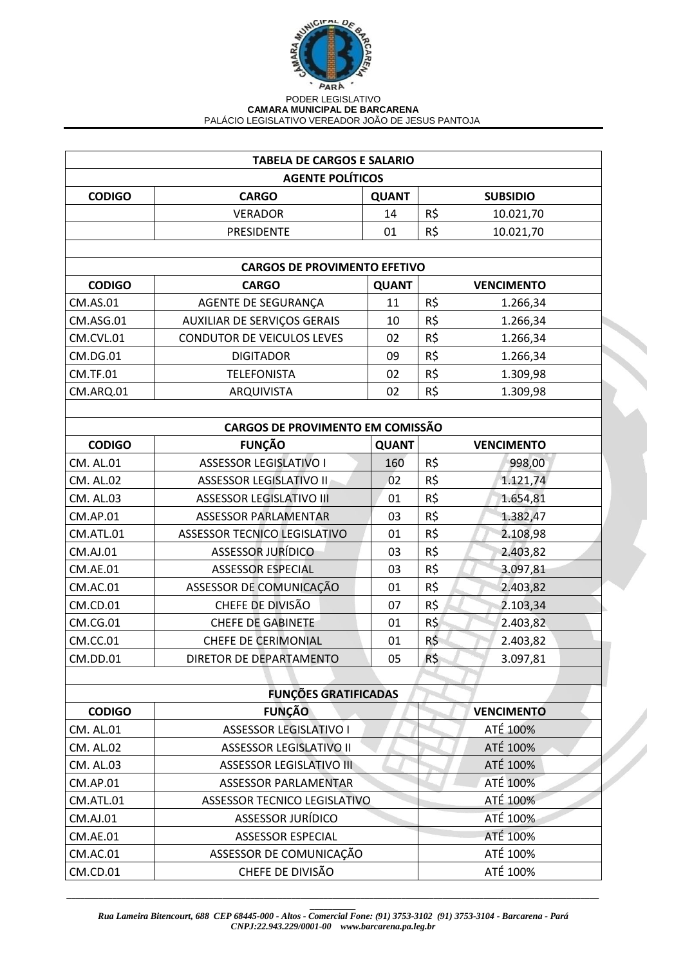

## PODER LEGISLATIVO **CAMARA MUNICIPAL DE BARCARENA** PALÁCIO LEGISLATIVO VEREADOR JOÃO DE JESUS PANTOJA

| <b>TABELA DE CARGOS E SALARIO</b>       |                                   |              |                   |  |
|-----------------------------------------|-----------------------------------|--------------|-------------------|--|
|                                         | <b>AGENTE POLÍTICOS</b>           |              |                   |  |
| <b>CODIGO</b>                           | <b>CARGO</b>                      | <b>QUANT</b> | <b>SUBSIDIO</b>   |  |
|                                         | <b>VERADOR</b>                    | 14           | R\$<br>10.021,70  |  |
|                                         | PRESIDENTE                        | 01           | R\$<br>10.021,70  |  |
|                                         |                                   |              |                   |  |
| <b>CARGOS DE PROVIMENTO EFETIVO</b>     |                                   |              |                   |  |
| <b>CODIGO</b>                           | <b>CARGO</b>                      | <b>QUANT</b> | <b>VENCIMENTO</b> |  |
| CM.AS.01                                | AGENTE DE SEGURANÇA               | 11           | R\$<br>1.266,34   |  |
| CM.ASG.01                               | AUXILIAR DE SERVIÇOS GERAIS       | 10           | R\$<br>1.266,34   |  |
| CM.CVL.01                               | <b>CONDUTOR DE VEICULOS LEVES</b> | 02           | R\$<br>1.266,34   |  |
| CM.DG.01                                | <b>DIGITADOR</b>                  | 09           | R\$<br>1.266,34   |  |
| <b>CM.TF.01</b>                         | <b>TELEFONISTA</b>                | 02           | R\$<br>1.309,98   |  |
| CM.ARQ.01                               | ARQUIVISTA                        | 02           | R\$<br>1.309,98   |  |
|                                         |                                   |              |                   |  |
| <b>CARGOS DE PROVIMENTO EM COMISSÃO</b> |                                   |              |                   |  |
| <b>CODIGO</b>                           | <b>FUNÇÃO</b>                     | <b>QUANT</b> | <b>VENCIMENTO</b> |  |
| CM. AL.01                               | <b>ASSESSOR LEGISLATIVO I</b>     | 160          | R\$<br>998,00     |  |
| <b>CM. AL.02</b>                        | <b>ASSESSOR LEGISLATIVO II</b>    | 02           | R\$<br>1.121,74   |  |
| <b>CM. AL.03</b>                        | <b>ASSESSOR LEGISLATIVO III</b>   | 01           | R\$<br>1.654,81   |  |
| CM.AP.01                                | <b>ASSESSOR PARLAMENTAR</b>       | 03           | R\$<br>1.382,47   |  |
| CM.ATL.01                               | ASSESSOR TECNICO LEGISLATIVO      | 01           | R\$<br>2.108,98   |  |
| <b>CM.AJ.01</b>                         | <b>ASSESSOR JURÍDICO</b>          | 03           | R\$<br>2.403,82   |  |
| <b>CM.AE.01</b>                         | <b>ASSESSOR ESPECIAL</b>          | 03           | R\$<br>3.097,81   |  |
| CM.AC.01                                | ASSESSOR DE COMUNICAÇÃO           | 01           | R\$<br>2.403,82   |  |
| CM.CD.01                                | CHEFE DE DIVISÃO                  | 07           | R\$<br>2.103,34   |  |
| CM.CG.01                                | <b>CHEFE DE GABINETE</b>          | 01           | R\$<br>2.403,82   |  |
| <b>CM.CC.01</b>                         | <b>CHEFE DE CERIMONIAL</b>        | 01           | R\$<br>2.403,82   |  |
| CM.DD.01                                | DIRETOR DE DEPARTAMENTO           | 05           | R\$<br>3.097,81   |  |
|                                         |                                   |              |                   |  |
|                                         | <b>FUNÇÕES GRATIFICADAS</b>       |              |                   |  |
| <b>CODIGO</b>                           | <b>FUNÇÃO</b>                     |              | <b>VENCIMENTO</b> |  |
| CM. AL.01                               | <b>ASSESSOR LEGISLATIVO I</b>     |              | ATÉ 100%          |  |
| <b>CM. AL.02</b>                        | <b>ASSESSOR LEGISLATIVO II</b>    |              | ATÉ 100%          |  |
| CM. AL.03                               | <b>ASSESSOR LEGISLATIVO III</b>   |              | ATÉ 100%          |  |
| CM.AP.01                                | <b>ASSESSOR PARLAMENTAR</b>       |              | ATÉ 100%          |  |
| CM.ATL.01                               | ASSESSOR TECNICO LEGISLATIVO      |              | ATÉ 100%          |  |
| CM.AJ.01                                | <b>ASSESSOR JURÍDICO</b>          |              | ATÉ 100%          |  |
| <b>CM.AE.01</b>                         | <b>ASSESSOR ESPECIAL</b>          |              | ATÉ 100%          |  |
| <b>CM.AC.01</b>                         | ASSESSOR DE COMUNICAÇÃO           |              | ATÉ 100%          |  |
| CM.CD.01                                | CHEFE DE DIVISÃO                  |              | ATÉ 100%          |  |

*\_\_\_\_\_\_\_\_\_\_\_\_\_\_\_\_\_\_\_\_\_\_\_\_\_\_\_\_\_\_\_\_\_\_\_\_\_\_\_\_\_\_\_\_\_\_\_\_\_\_\_\_\_\_\_\_\_\_\_\_\_\_\_\_\_\_\_\_\_\_\_\_\_\_\_\_\_\_\_\_\_\_\_\_\_\_\_\_\_\_\_\_\_\_\_\_\_\_\_\_\_\_\_\_\_\_\_\_\_\_\_\_\_\_\_\_*